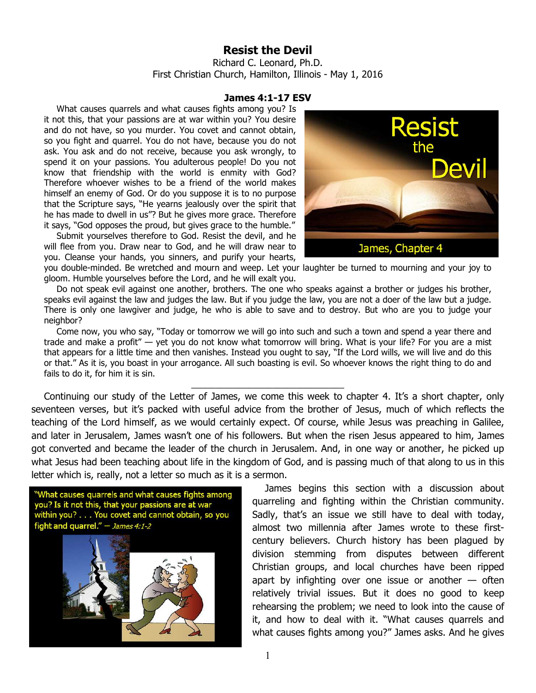## **Resist the Devil**

Richard C. Leonard, Ph.D. First Christian Church, Hamilton, Illinois - May 1, 2016

## **James 4:1-17 ESV**

What causes quarrels and what causes fights among you? Is it not this, that your passions are at war within you? You desire and do not have, so you murder. You covet and cannot obtain, so you fight and quarrel. You do not have, because you do not ask. You ask and do not receive, because you ask wrongly, to spend it on your passions. You adulterous people! Do you not know that friendship with the world is enmity with God? Therefore whoever wishes to be a friend of the world makes himself an enemy of God. Or do you suppose it is to no purpose that the Scripture says, "He yearns jealously over the spirit that he has made to dwell in us"? But he gives more grace. Therefore it says, "God opposes the proud, but gives grace to the humble."

Submit yourselves therefore to God. Resist the devil, and he will flee from you. Draw near to God, and he will draw near to you. Cleanse your hands, you sinners, and purify your hearts,



you double-minded. Be wretched and mourn and weep. Let your laughter be turned to mourning and your joy to gloom. Humble yourselves before the Lord, and he will exalt you.

Do not speak evil against one another, brothers. The one who speaks against a brother or judges his brother, speaks evil against the law and judges the law. But if you judge the law, you are not a doer of the law but a judge. There is only one lawgiver and judge, he who is able to save and to destroy. But who are you to judge your neighbor?

Come now, you who say, "Today or tomorrow we will go into such and such a town and spend a year there and trade and make a profit" — yet you do not know what tomorrow will bring. What is your life? For you are a mist that appears for a little time and then vanishes. Instead you ought to say, "If the Lord wills, we will live and do this or that." As it is, you boast in your arrogance. All such boasting is evil. So whoever knows the right thing to do and fails to do it, for him it is sin.

\_\_\_\_\_\_\_\_\_\_\_\_\_\_\_\_\_\_\_\_\_\_\_\_\_\_\_\_\_\_\_\_

Continuing our study of the Letter of James, we come this week to chapter 4. It's a short chapter, only seventeen verses, but it's packed with useful advice from the brother of Jesus, much of which reflects the teaching of the Lord himself, as we would certainly expect. Of course, while Jesus was preaching in Galilee, and later in Jerusalem, James wasn't one of his followers. But when the risen Jesus appeared to him, James got converted and became the leader of the church in Jerusalem. And, in one way or another, he picked up what Jesus had been teaching about life in the kingdom of God, and is passing much of that along to us in this letter which is, really, not a letter so much as it is a sermon.



James begins this section with a discussion about quarreling and fighting within the Christian community. Sadly, that's an issue we still have to deal with today, almost two millennia after James wrote to these firstcentury believers. Church history has been plagued by division stemming from disputes between different Christian groups, and local churches have been ripped apart by infighting over one issue or another  $-$  often relatively trivial issues. But it does no good to keep rehearsing the problem; we need to look into the cause of it, and how to deal with it. "What causes quarrels and what causes fights among you?" James asks. And he gives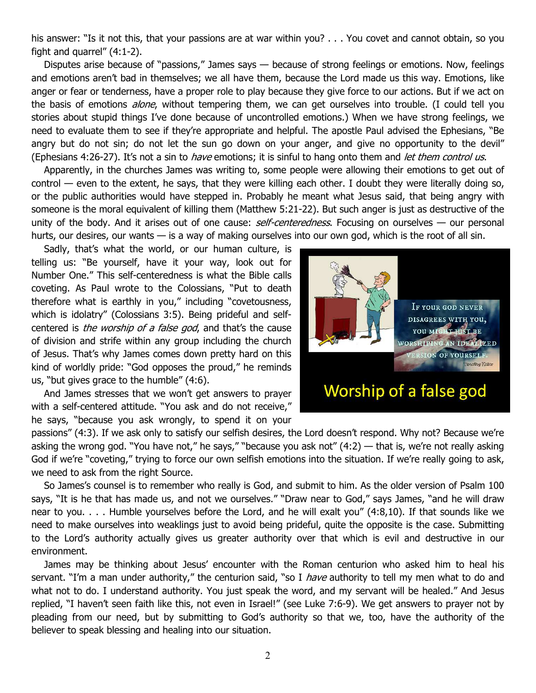his answer: "Is it not this, that your passions are at war within you? . . . You covet and cannot obtain, so you fight and quarrel"  $(4:1-2)$ .

Disputes arise because of "passions," James says — because of strong feelings or emotions. Now, feelings and emotions aren't bad in themselves; we all have them, because the Lord made us this way. Emotions, like anger or fear or tenderness, have a proper role to play because they give force to our actions. But if we act on the basis of emotions *alone*, without tempering them, we can get ourselves into trouble. (I could tell you stories about stupid things I've done because of uncontrolled emotions.) When we have strong feelings, we need to evaluate them to see if they're appropriate and helpful. The apostle Paul advised the Ephesians, "Be angry but do not sin; do not let the sun go down on your anger, and give no opportunity to the devil" (Ephesians 4:26-27). It's not a sin to *have* emotions; it is sinful to hang onto them and *let them control us.* 

Apparently, in the churches James was writing to, some people were allowing their emotions to get out of control — even to the extent, he says, that they were killing each other. I doubt they were literally doing so, or the public authorities would have stepped in. Probably he meant what Jesus said, that being angry with someone is the moral equivalent of killing them (Matthew 5:21-22). But such anger is just as destructive of the unity of the body. And it arises out of one cause:  $self-centeredness$ . Focusing on ourselves — our personal hurts, our desires, our wants — is a way of making ourselves into our own god, which is the root of all sin.

Sadly, that's what the world, or our human culture, is telling us: "Be yourself, have it your way, look out for Number One." This self-centeredness is what the Bible calls coveting. As Paul wrote to the Colossians, "Put to death therefore what is earthly in you," including "covetousness, which is idolatry" (Colossians 3:5). Being prideful and selfcentered is *the worship of a false god*, and that's the cause of division and strife within any group including the church of Jesus. That's why James comes down pretty hard on this kind of worldly pride: "God opposes the proud," he reminds us, "but gives grace to the humble" (4:6).

And James stresses that we won't get answers to prayer with a self-centered attitude. "You ask and do not receive," he says, "because you ask wrongly, to spend it on your



Worship of a false god

passions" (4:3). If we ask only to satisfy our selfish desires, the Lord doesn't respond. Why not? Because we're asking the wrong god. "You have not," he says," "because you ask not" (4:2) — that is, we're not really asking God if we're "coveting," trying to force our own selfish emotions into the situation. If we're really going to ask, we need to ask from the right Source.

So James's counsel is to remember who really is God, and submit to him. As the older version of Psalm 100 says, "It is he that has made us, and not we ourselves." "Draw near to God," says James, "and he will draw near to you. . . . Humble yourselves before the Lord, and he will exalt you" (4:8,10). If that sounds like we need to make ourselves into weaklings just to avoid being prideful, quite the opposite is the case. Submitting to the Lord's authority actually gives us greater authority over that which is evil and destructive in our environment.

James may be thinking about Jesus' encounter with the Roman centurion who asked him to heal his servant. "I'm a man under authority," the centurion said, "so I *have* authority to tell my men what to do and what not to do. I understand authority. You just speak the word, and my servant will be healed." And Jesus replied, "I haven't seen faith like this, not even in Israel!" (see Luke 7:6-9). We get answers to prayer not by pleading from our need, but by submitting to God's authority so that we, too, have the authority of the believer to speak blessing and healing into our situation.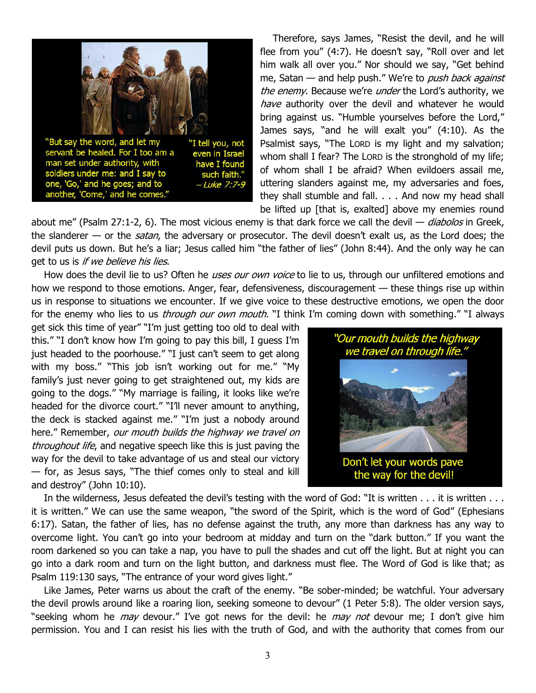

Therefore, says James, "Resist the devil, and he will flee from you" (4:7). He doesn't say, "Roll over and let him walk all over you." Nor should we say, "Get behind me, Satan — and help push." We're to *push back against* the enemy. Because we're *under* the Lord's authority, we have authority over the devil and whatever he would bring against us. "Humble yourselves before the Lord," James says, "and he will exalt you" (4:10). As the Psalmist says, "The LORD is my light and my salvation; whom shall I fear? The LORD is the stronghold of my life; of whom shall I be afraid? When evildoers assail me, uttering slanders against me, my adversaries and foes, they shall stumble and fall. . . . And now my head shall be lifted up [that is, exalted] above my enemies round

about me" (Psalm 27:1-2, 6). The most vicious enemy is that dark force we call the devil  $-$  diabolos in Greek, the slanderer — or the *satan*, the adversary or prosecutor. The devil doesn't exalt us, as the Lord does; the devil puts us down. But he's a liar; Jesus called him "the father of lies" (John 8:44). And the only way he can get to us is if we believe his lies.

How does the devil lie to us? Often he *uses our own voice* to lie to us, through our unfiltered emotions and how we respond to those emotions. Anger, fear, defensiveness, discouragement — these things rise up within us in response to situations we encounter. If we give voice to these destructive emotions, we open the door for the enemy who lies to us *through our own mouth.* "I think I'm coming down with something." "I always

get sick this time of year" "I'm just getting too old to deal with this." "I don't know how I'm going to pay this bill, I guess I'm just headed to the poorhouse." "I just can't seem to get along with my boss." "This job isn't working out for me." "My family's just never going to get straightened out, my kids are going to the dogs." "My marriage is failing, it looks like we're headed for the divorce court." "I'll never amount to anything, the deck is stacked against me." "I'm just a nobody around here." Remember, our mouth builds the highway we travel on throughout life, and negative speech like this is just paving the way for the devil to take advantage of us and steal our victory — for, as Jesus says, "The thief comes only to steal and kill and destroy" (John 10:10).



Don't let your words pave the way for the devil!

In the wilderness, Jesus defeated the devil's testing with the word of God: "It is written . . . it is written . . . it is written." We can use the same weapon, "the sword of the Spirit, which is the word of God" (Ephesians 6:17). Satan, the father of lies, has no defense against the truth, any more than darkness has any way to overcome light. You can't go into your bedroom at midday and turn on the "dark button." If you want the room darkened so you can take a nap, you have to pull the shades and cut off the light. But at night you can go into a dark room and turn on the light button, and darkness must flee. The Word of God is like that; as Psalm 119:130 says, "The entrance of your word gives light."

Like James, Peter warns us about the craft of the enemy. "Be sober-minded; be watchful. Your adversary the devil prowls around like a roaring lion, seeking someone to devour" (1 Peter 5:8). The older version says, "seeking whom he *may* devour." I've got news for the devil: he *may not* devour me; I don't give him permission. You and I can resist his lies with the truth of God, and with the authority that comes from our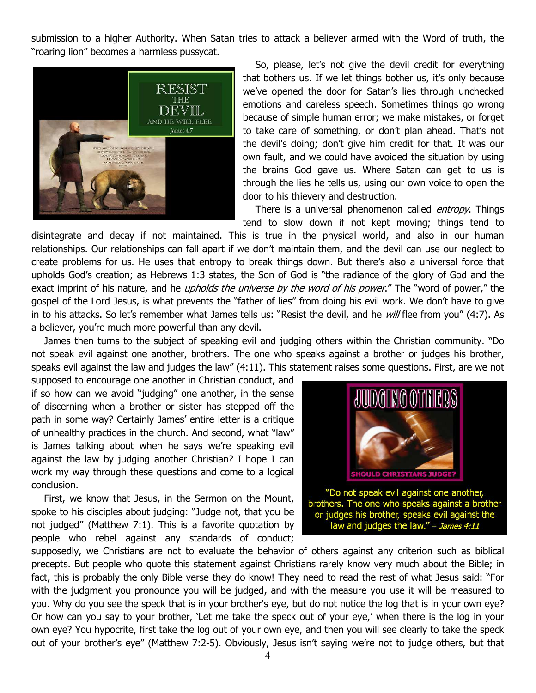submission to a higher Authority. When Satan tries to attack a believer armed with the Word of truth, the "roaring lion" becomes a harmless pussycat.



So, please, let's not give the devil credit for everything that bothers us. If we let things bother us, it's only because we've opened the door for Satan's lies through unchecked emotions and careless speech. Sometimes things go wrong because of simple human error; we make mistakes, or forget to take care of something, or don't plan ahead. That's not the devil's doing; don't give him credit for that. It was our own fault, and we could have avoided the situation by using the brains God gave us. Where Satan can get to us is through the lies he tells us, using our own voice to open the door to his thievery and destruction.

There is a universal phenomenon called *entropy*. Things tend to slow down if not kept moving; things tend to

disintegrate and decay if not maintained. This is true in the physical world, and also in our human relationships. Our relationships can fall apart if we don't maintain them, and the devil can use our neglect to create problems for us. He uses that entropy to break things down. But there's also a universal force that upholds God's creation; as Hebrews 1:3 states, the Son of God is "the radiance of the glory of God and the exact imprint of his nature, and he *upholds the universe by the word of his power*." The "word of power," the gospel of the Lord Jesus, is what prevents the "father of lies" from doing his evil work. We don't have to give in to his attacks. So let's remember what James tells us: "Resist the devil, and he will flee from you" (4:7). As a believer, you're much more powerful than any devil.

James then turns to the subject of speaking evil and judging others within the Christian community. "Do not speak evil against one another, brothers. The one who speaks against a brother or judges his brother, speaks evil against the law and judges the law" (4:11). This statement raises some questions. First, are we not

supposed to encourage one another in Christian conduct, and if so how can we avoid "judging" one another, in the sense of discerning when a brother or sister has stepped off the path in some way? Certainly James' entire letter is a critique of unhealthy practices in the church. And second, what "law" is James talking about when he says we're speaking evil against the law by judging another Christian? I hope I can work my way through these questions and come to a logical conclusion.

First, we know that Jesus, in the Sermon on the Mount, spoke to his disciples about judging: "Judge not, that you be not judged" (Matthew 7:1). This is a favorite quotation by people who rebel against any standards of conduct;



supposedly, we Christians are not to evaluate the behavior of others against any criterion such as biblical precepts. But people who quote this statement against Christians rarely know very much about the Bible; in fact, this is probably the only Bible verse they do know! They need to read the rest of what Jesus said: "For with the judgment you pronounce you will be judged, and with the measure you use it will be measured to you. Why do you see the speck that is in your brother's eye, but do not notice the log that is in your own eye? Or how can you say to your brother, 'Let me take the speck out of your eye,' when there is the log in your own eye? You hypocrite, first take the log out of your own eye, and then you will see clearly to take the speck out of your brother's eye" (Matthew 7:2-5). Obviously, Jesus isn't saying we're not to judge others, but that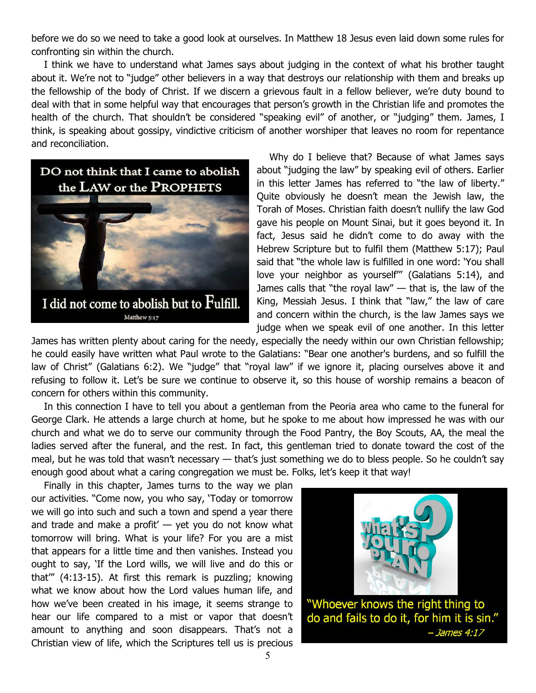before we do so we need to take a good look at ourselves. In Matthew 18 Jesus even laid down some rules for confronting sin within the church.

I think we have to understand what James says about judging in the context of what his brother taught about it. We're not to "judge" other believers in a way that destroys our relationship with them and breaks up the fellowship of the body of Christ. If we discern a grievous fault in a fellow believer, we're duty bound to deal with that in some helpful way that encourages that person's growth in the Christian life and promotes the health of the church. That shouldn't be considered "speaking evil" of another, or "judging" them. James, I think, is speaking about gossipy, vindictive criticism of another worshiper that leaves no room for repentance and reconciliation.



Why do I believe that? Because of what James says about "judging the law" by speaking evil of others. Earlier in this letter James has referred to "the law of liberty." Quite obviously he doesn't mean the Jewish law, the Torah of Moses. Christian faith doesn't nullify the law God gave his people on Mount Sinai, but it goes beyond it. In fact, Jesus said he didn't come to do away with the Hebrew Scripture but to fulfil them (Matthew 5:17); Paul said that "the whole law is fulfilled in one word: 'You shall love your neighbor as yourself'" (Galatians 5:14), and James calls that "the royal law"  $-$  that is, the law of the King, Messiah Jesus. I think that "law," the law of care and concern within the church, is the law James says we judge when we speak evil of one another. In this letter

James has written plenty about caring for the needy, especially the needy within our own Christian fellowship; he could easily have written what Paul wrote to the Galatians: "Bear one another's burdens, and so fulfill the law of Christ" (Galatians 6:2). We "judge" that "royal law" if we ignore it, placing ourselves above it and refusing to follow it. Let's be sure we continue to observe it, so this house of worship remains a beacon of concern for others within this community.

In this connection I have to tell you about a gentleman from the Peoria area who came to the funeral for George Clark. He attends a large church at home, but he spoke to me about how impressed he was with our church and what we do to serve our community through the Food Pantry, the Boy Scouts, AA, the meal the ladies served after the funeral, and the rest. In fact, this gentleman tried to donate toward the cost of the meal, but he was told that wasn't necessary — that's just something we do to bless people. So he couldn't say enough good about what a caring congregation we must be. Folks, let's keep it that way!

Finally in this chapter, James turns to the way we plan our activities. "Come now, you who say, 'Today or tomorrow we will go into such and such a town and spend a year there and trade and make a profit'  $-$  yet you do not know what tomorrow will bring. What is your life? For you are a mist that appears for a little time and then vanishes. Instead you ought to say, 'If the Lord wills, we will live and do this or that'" (4:13-15). At first this remark is puzzling; knowing what we know about how the Lord values human life, and how we've been created in his image, it seems strange to hear our life compared to a mist or vapor that doesn't amount to anything and soon disappears. That's not a Christian view of life, which the Scriptures tell us is precious



 $-$  James 4:17